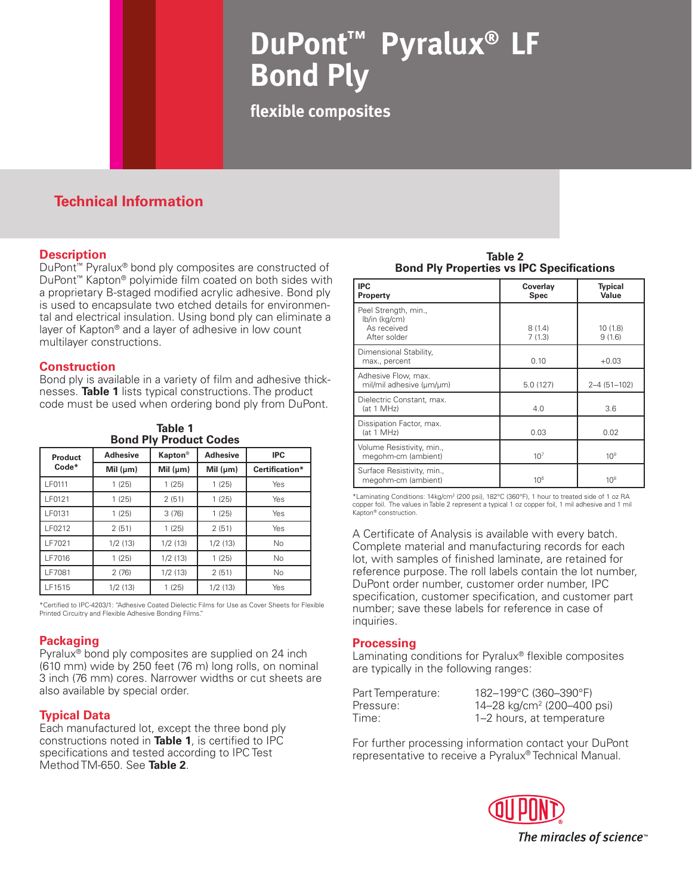# **DuPont™ Pyralux® Bond Ply**

**flexible composites**

## **Technical Information**

## **Description**

DuPont™ Pyralux® bond ply composites are constructed of DuPont™ Kapton® polyimide film coated on both sides with a proprietary B-staged modified acrylic adhesive. Bond ply is used to encapsulate two etched details for environmental and electrical insulation. Using bond ply can eliminate a layer of Kapton® and a layer of adhesive in low count multilayer constructions.

### **Construction**

Bond ply is available in a variety of film and adhesive thicknesses. **Table 1** lists typical constructions. The product code must be used when ordering bond ply from DuPont.

| Table 1<br><b>Bond Ply Product Codes</b> |                 |                 |                 |                |  |
|------------------------------------------|-----------------|-----------------|-----------------|----------------|--|
| Product<br>$Code*$                       | <b>Adhesive</b> | <b>Kapton</b> ® | <b>Adhesive</b> | <b>IPC</b>     |  |
|                                          | Mil $(\mu m)$   | Mil $(\mu m)$   | Mil $(\mu m)$   | Certification* |  |
| LF0111                                   | 1(25)           | 1(25)           | 1(25)           | Yes            |  |
| LF0121                                   | 1(25)           | 2(51)           | 1(25)           | Yes            |  |
| LF0131                                   | 1(25)           | 3(76)           | 1(25)           | Yes            |  |
| LF0212                                   | 2(51)           | 1(25)           | 2(51)           | Yes            |  |
| LF7021                                   | 1/2(13)         | 1/2(13)         | 1/2(13)         | <b>No</b>      |  |
| LF7016                                   | 1(25)           | 1/2(13)         | 1(25)           | <b>No</b>      |  |
| LF7081                                   | 2(76)           | 1/2(13)         | 2(51)           | <b>No</b>      |  |
| LF1515                                   | 1/2(13)         | 1(25)           | 1/2(13)         | Yes            |  |

\*Certified to IPC-4203/1: "Adhesive Coated Dielectic Films for Use as Cover Sheets for Flexible Printed Circuitry and Flexible Adhesive Bonding Films."

## **Packaging**

Pyralux® bond ply composites are supplied on 24 inch (610 mm) wide by 250 feet (76 m) long rolls, on nominal 3 inch (76 mm) cores. Narrower widths or cut sheets are also available by special order.

## **Typical Data**

Each manufactured lot, except the three bond ply constructions noted in **Table 1**, is certified to IPC specifications and tested according to IPC Test Method TM-650. See **Table 2**.

**Table 2 Bond Ply Properties vs IPC Specifications**

| IPC<br>Property                                                      | Coverlay<br><b>Spec</b> | <b>Typical</b><br>Value |
|----------------------------------------------------------------------|-------------------------|-------------------------|
| Peel Strength, min.,<br>lb/in (kg/cm)<br>As received<br>After solder | 8(1.4)<br>7(1.3)        | 10 (1.8)<br>9(1.6)      |
| Dimensional Stability,<br>max., percent                              | 0.10                    | $+0.03$                 |
| Adhesive Flow, max.<br>mil/mil adhesive (µm/µm)                      | 5.0(127)                | $2 - 4(51 - 102)$       |
| Dielectric Constant, max.<br>(at 1 MHz)                              | 4.0                     | 3.6                     |
| Dissipation Factor, max.<br>(at 1 MHz)                               | 0.03                    | 0.02                    |
| Volume Resistivity, min.,<br>megohm-cm (ambient)                     | 10 <sup>7</sup>         | 10 <sup>9</sup>         |
| Surface Resistivity, min.,<br>megohm-cm (ambient)                    | 10 <sup>6</sup>         | 10 <sup>8</sup>         |

\*Laminating Conditions: 14kg/cm2 (200 psi), 182°C (360°F), 1 hour to treated side of 1 oz RA copper foil. The values in Table 2 represent a typical 1 oz copper foil, 1 mil adhesive and 1 mil Kapton® construction.

A Certificate of Analysis is available with every batch. Complete material and manufacturing records for each lot, with samples of finished laminate, are retained for reference purpose. The roll labels contain the lot number, DuPont order number, customer order number, IPC specification, customer specification, and customer part number; save these labels for reference in case of inquiries.

## **Processing**

Laminating conditions for Pyralux® flexible composites are typically in the following ranges:

| Part Temperature: | 182-199°C (360-390°F)                  |
|-------------------|----------------------------------------|
| Pressure:         | 14–28 kg/cm <sup>2</sup> (200–400 psi) |
| Time:             | 1–2 hours, at temperature              |

For further processing information contact your DuPont representative to receive a Pyralux® Technical Manual.